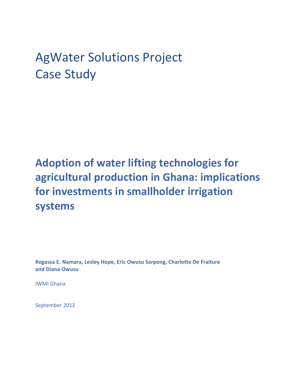# AgWater Solutions Project Case Study

## **Adoption of water lifting technologies for agricultural production in Ghana: implications for investments in smallholder irrigation systems**

**Regassa E. Namara, Lesley Hope, Eric Owusu Sarpong, Charlotte De Fraiture and Diana Owusu** 

IWMI Ghana

September 2012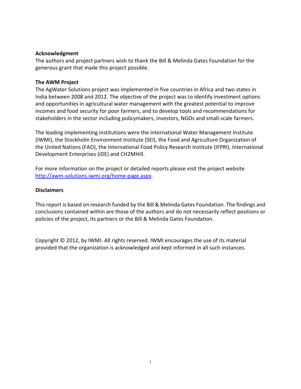#### **Acknowledgment**

The authors and project partners wish to thank the Bill & Melinda Gates Foundation for the generous grant that made this project possible.

#### **The AWM Project**

The AgWater Solutions project was implemented in five countries in Africa and two states in India between 2008 and 2012. The objective of the project was to identify investment options and opportunities in agricultural water management with the greatest potential to improve incomes and food security for poor farmers, and to develop tools and recommendations for stakeholders in the sector including policymakers, investors, NGOs and small-scale farmers.

The leading implementing institutions were the International Water Management Institute (IWMI), the Stockholm Environment Institute (SEI), the Food and Agriculture Organization of the United Nations (FAO), the International Food Policy Research Institute (IFPRI), International Development Enterprises (iDE) and CH2MHill.

For more information on the project or detailed reports please visit the project website http://awm-solutions.iwmi.org/home-page.aspx.

#### **Disclaimers**

This report is based on research funded by the Bill & Melinda Gates Foundation. The findings and conclusions contained within are those of the authors and do not necessarily reflect positions or policies of the project, its partners or the Bill & Melinda Gates Foundation.

Copyright © 2012, by IWMI. All rights reserved. IWMI encourages the use of its material provided that the organization is acknowledged and kept informed in all such instances.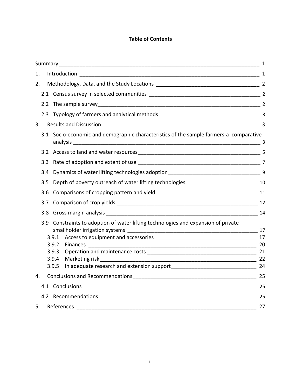## **Table of Contents**

|    |               |                                                                                        | 1  |
|----|---------------|----------------------------------------------------------------------------------------|----|
| 1. |               |                                                                                        |    |
| 2. |               |                                                                                        |    |
|    |               |                                                                                        |    |
|    |               |                                                                                        |    |
|    |               |                                                                                        |    |
| 3. |               |                                                                                        |    |
|    |               | 3.1 Socio-economic and demographic characteristics of the sample farmers-a comparative |    |
|    |               |                                                                                        |    |
|    |               |                                                                                        |    |
|    |               |                                                                                        |    |
|    | $3.5^{\circ}$ |                                                                                        |    |
|    | 3.6           |                                                                                        |    |
|    | 3.7           |                                                                                        |    |
|    |               |                                                                                        |    |
|    |               | 3.9 Constraints to adoption of water lifting technologies and expansion of private     |    |
|    |               | 3.9.1                                                                                  | 17 |
|    |               | 3.9.2<br><b>Finances</b>                                                               |    |
|    |               | 3.9.3                                                                                  |    |
|    |               | 3.9.4<br>Marketing risk                                                                |    |
|    |               | 3.9.5                                                                                  |    |
| 4. |               |                                                                                        |    |
|    |               |                                                                                        |    |
|    |               |                                                                                        |    |
| 5. |               |                                                                                        | 27 |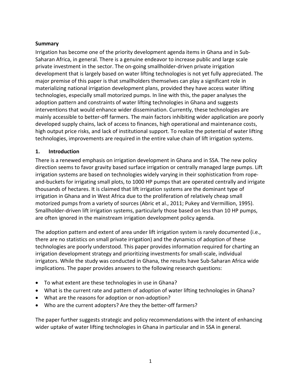#### **Summary**

Irrigation has become one of the priority development agenda items in Ghana and in Sub-Saharan Africa, in general. There is a genuine endeavor to increase public and large scale private investment in the sector. The on-going smallholder-driven private irrigation development that is largely based on water lifting technologies is not yet fully appreciated. The major premise of this paper is that smallholders themselves can play a significant role in materializing national irrigation development plans, provided they have access water lifting technologies, especially small motorized pumps. In line with this, the paper analyses the adoption pattern and constraints of water lifting technologies in Ghana and suggests interventions that would enhance wider dissemination. Currently, these technologies are mainly accessible to better-off farmers. The main factors inhibiting wider application are poorly developed supply chains, lack of access to finances, high operational and maintenance costs, high output price risks, and lack of institutional support. To realize the potential of water lifting technologies, improvements are required in the entire value chain of lift irrigation systems.

#### **1. Introduction**

There is a renewed emphasis on irrigation development in Ghana and in SSA. The new policy direction seems to favor gravity based surface irrigation or centrally managed large pumps. Lift irrigation systems are based on technologies widely varying in their sophistication from ropeand-buckets for irrigating small plots, to 1000 HP pumps that are operated centrally and irrigate thousands of hectares. It is claimed that lift irrigation systems are the dominant type of irrigation in Ghana and in West Africa due to the proliferation of relatively cheap small motorized pumps from a variety of sources (Abric et al., 2011; Pukey and Vermillion, 1995). Smallholder-driven lift irrigation systems, particularly those based on less than 10 HP pumps, are often ignored in the mainstream irrigation development policy agenda.

The adoption pattern and extent of area under lift irrigation system is rarely documented (i.e., there are no statistics on small private irrigation) and the dynamics of adoption of these technologies are poorly understood. This paper provides information required for charting an irrigation development strategy and prioritizing investments for small-scale, individual irrigators. While the study was conducted in Ghana, the results have Sub-Saharan Africa wide implications. The paper provides answers to the following research questions:

- To what extent are these technologies in use in Ghana?
- What is the current rate and pattern of adoption of water lifting technologies in Ghana?
- What are the reasons for adoption or non-adoption?
- Who are the current adopters? Are they the better-off farmers?

The paper further suggests strategic and policy recommendations with the intent of enhancing wider uptake of water lifting technologies in Ghana in particular and in SSA in general.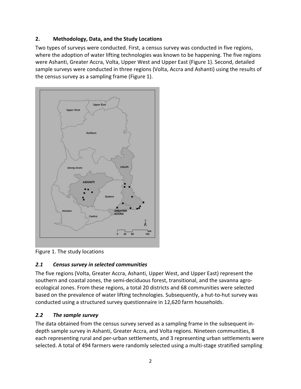## **2. Methodology, Data, and the Study Locations**

Two types of surveys were conducted. First, a census survey was conducted in five regions, where the adoption of water lifting technologies was known to be happening. The five regions were Ashanti, Greater Accra, Volta, Upper West and Upper East (Figure 1). Second, detailed sample surveys were conducted in three regions (Volta, Accra and Ashanti) using the results of the census survey as a sampling frame (Figure 1).



Figure 1. The study locations

## *2.1 Census survey in selected communities*

The five regions (Volta, Greater Accra, Ashanti, Upper West, and Upper East) represent the southern and coastal zones, the semi-deciduous forest, transitional, and the savanna agroecological zones. From these regions, a total 20 districts and 68 communities were selected based on the prevalence of water lifting technologies. Subsequently, a hut-to-hut survey was conducted using a structured survey questionnaire in 12,620 farm households.

## *2.2 The sample survey*

The data obtained from the census survey served as a sampling frame in the subsequent indepth sample survey in Ashanti, Greater Accra, and Volta regions. Nineteen communities, 8 each representing rural and per-urban settlements, and 3 representing urban settlements were selected. A total of 494 farmers were randomly selected using a multi-stage stratified sampling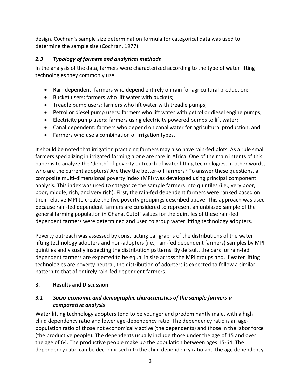design. Cochran's sample size determination formula for categorical data was used to determine the sample size (Cochran, 1977).

## *2.3 Typology of farmers and analytical methods*

In the analysis of the data, farmers were characterized according to the type of water lifting technologies they commonly use.

- Rain dependent: farmers who depend entirely on rain for agricultural production;
- Bucket users: farmers who lift water with buckets;
- Treadle pump users: farmers who lift water with treadle pumps;
- Petrol or diesel pump users: farmers who lift water with petrol or diesel engine pumps;
- Electricity pump users: farmers using electricity powered pumps to lift water;
- Canal dependent: farmers who depend on canal water for agricultural production, and
- Farmers who use a combination of irrigation types.

It should be noted that irrigation practicing farmers may also have rain-fed plots. As a rule small farmers specializing in irrigated farming alone are rare in Africa. One of the main intents of this paper is to analyze the 'depth' of poverty outreach of water lifting technologies. In other words, who are the current adopters? Are they the better-off farmers? To answer these questions, a composite multi-dimensional poverty index (MPI) was developed using principal component analysis. This index was used to categorize the sample farmers into quintiles (i.e., very poor, poor, middle, rich, and very rich). First, the rain-fed dependent farmers were ranked based on their relative MPI to create the five poverty groupings described above. This approach was used because rain-fed dependent farmers are considered to represent an unbiased sample of the general farming population in Ghana. Cutoff values for the quintiles of these rain-fed dependent farmers were determined and used to group water lifting technology adopters.

Poverty outreach was assessed by constructing bar graphs of the distributions of the water lifting technology adopters and non-adopters (i.e., rain-fed dependent farmers) samples by MPI quintiles and visually inspecting the distribution patterns. By default, the bars for rain-fed dependent farmers are expected to be equal in size across the MPI groups and, if water lifting technologies are poverty neutral, the distribution of adopters is expected to follow a similar pattern to that of entirely rain-fed dependent farmers.

## **3. Results and Discussion**

## *3.1 Socio-economic and demographic characteristics of the sample farmers-a comparative analysis*

Water lifting technology adopters tend to be younger and predominantly male, with a high child dependency ratio and lower age-dependency ratio. The dependency ratio is an agepopulation ratio of those not economically active (the dependents) and those in the labor force (the productive people). The dependents usually include those under the age of 15 and over the age of 64. The productive people make up the population between ages 15-64. The dependency ratio can be decomposed into the child dependency ratio and the age dependency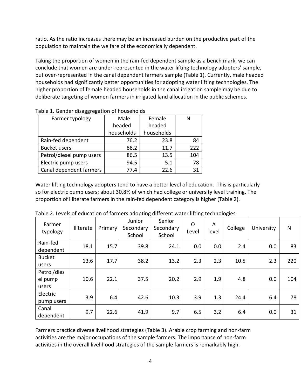ratio. As the ratio increases there may be an increased burden on the productive part of the population to maintain the welfare of the economically dependent.

Taking the proportion of women in the rain-fed dependent sample as a bench mark, we can conclude that women are under-represented in the water lifting technology adopters' sample, but over-represented in the canal dependent farmers sample (Table 1). Currently, male headed households had significantly better opportunities for adopting water lifting technologies. The higher proportion of female headed households in the canal irrigation sample may be due to deliberate targeting of women farmers in irrigated land allocation in the public schemes.

| Farmer typology          | Male       | Female     | N   |
|--------------------------|------------|------------|-----|
|                          | headed     | headed     |     |
|                          | households | households |     |
| Rain-fed dependent       | 76.2       | 23.8       | 84  |
| <b>Bucket users</b>      | 88.2       | 11.7       | 222 |
| Petrol/diesel pump users | 86.5       | 13.5       | 104 |
| Electric pump users      | 94.5       | 5.1        | 78  |
| Canal dependent farmers  | 77.4       | 22.6       | 31  |

Table 1. Gender disaggregation of households

Water lifting technology adopters tend to have a better level of education. This is particularly so for electric pump users; about 30.8% of which had college or university level training. The proportion of illiterate farmers in the rain-fed dependent category is higher (Table 2).

| Farmer<br>typology              | Illiterate | Primary | Junior<br>Secondary<br>School | Senior<br>Secondary<br>School | $\Omega$<br>Level | A<br>level | College | University | $\mathsf{N}$ |
|---------------------------------|------------|---------|-------------------------------|-------------------------------|-------------------|------------|---------|------------|--------------|
| Rain-fed<br>dependent           | 18.1       | 15.7    | 39.8                          | 24.1                          | 0.0               | 0.0        | 2.4     | 0.0        | 83           |
| <b>Bucket</b><br>users          | 13.6       | 17.7    | 38.2                          | 13.2                          | 2.3               | 2.3        | 10.5    | 2.3        | 220          |
| Petrol/dies<br>el pump<br>users | 10.6       | 22.1    | 37.5                          | 20.2                          | 2.9               | 1.9        | 4.8     | 0.0        | 104          |
| Electric<br>pump users          | 3.9        | 6.4     | 42.6                          | 10.3                          | 3.9               | 1.3        | 24.4    | 6.4        | 78           |
| Canal<br>dependent              | 9.7        | 22.6    | 41.9                          | 9.7                           | 6.5               | 3.2        | 6.4     | 0.0        | 31           |

Table 2. Levels of education of farmers adopting different water lifting technologies

Farmers practice diverse livelihood strategies (Table 3). Arable crop farming and non-farm activities are the major occupations of the sample farmers. The importance of non-farm activities in the overall livelihood strategies of the sample farmers is remarkably high.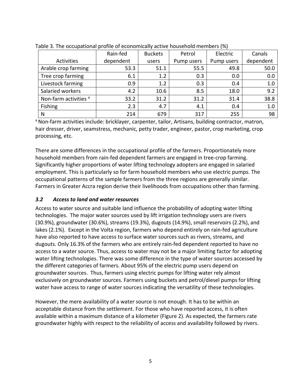| $\sim$ 0.000 $\sim$ 0.000 $\sim$ 0.000 $\sim$ 0.000 $\sim$ 0.000 $\sim$ 0.000 $\sim$ 0.000 $\sim$ 0.000 $\sim$ 0.000 $\sim$ 0.000 $\sim$ 0.000 $\sim$ | Rain-fed  | <b>Buckets</b> | Petrol     | Electric   | Canals    |
|-------------------------------------------------------------------------------------------------------------------------------------------------------|-----------|----------------|------------|------------|-----------|
| Activities                                                                                                                                            | dependent | users          | Pump users | Pump users | dependent |
| Arable crop farming                                                                                                                                   | 53.3      | 51.1           | 55.5       | 49.8       | 50.0      |
| Tree crop farming                                                                                                                                     | 6.1       | 1.2            | 0.3        | 0.0        | 0.0       |
| Livestock farming                                                                                                                                     | 0.9       | 1.2            | 0.3        | 0.4        | 1.0       |
| Salaried workers                                                                                                                                      | 4.2       | 10.6           | 8.5        | 18.0       | 9.2       |
| Non-farm activities <sup>a</sup>                                                                                                                      | 33.2      | 31.2           | 31.2       | 31.4       | 38.8      |
| Fishing                                                                                                                                               | 2.3       | 4.7            | 4.1        | 0.4        | 1.0       |
| N                                                                                                                                                     | 214       | 679            | 317        | 255        | 98        |

Table 3. The occupational profile of economically active household members (%)

a Non-farm activities include: bricklayer, carpenter, tailor, Artisans, building contractor, matron, hair dresser, driver, seamstress, mechanic, petty trader, engineer, pastor, crop marketing, crop processing, etc.

There are some differences in the occupational profile of the farmers. Proportionately more household members from rain-fed dependent farmers are engaged in tree-crop farming. Significantly higher proportions of water lifting technology adopters are engaged in salaried employment. This is particularly so for farm household members who use electric pumps. The occupational patterns of the sample farmers from the three regions are generally similar. Farmers in Greater Accra region derive their livelihoods from occupations other than farming.

## *3.2 Access to land and water resources*

Access to water source and suitable land influence the probability of adopting water lifting technologies. The major water sources used by lift irrigation technology users are rivers (30.9%), groundwater (30.6%), streams (19.3%), dugouts (14.9%), small reservoirs (2.2%), and lakes (2.1%). Except in the Volta region, farmers who depend entirely on rain-fed agriculture have also reported to have access to surface water sources such as rivers, streams, and dugouts. Only 16.3% of the farmers who are entirely rain-fed dependent reported to have no access to a water source. Thus, access to water may not be a major limiting factor for adopting water lifting technologies. There was some difference in the type of water sources accessed by the different categories of farmers. About 95% of the electric pump users depend on groundwater sources. Thus, farmers using electric pumps for lifting water rely almost exclusively on groundwater sources. Farmers using buckets and petrol/diesel pumps for lifting water have access to range of water sources indicating the versatility of these technologies.

However, the mere availability of a water source is not enough. It has to be within an acceptable distance from the settlement. For those who have reported access, it is often available within a maximum distance of a kilometer (Figure 2). As expected, the farmers rate groundwater highly with respect to the reliability of access and availability followed by rivers.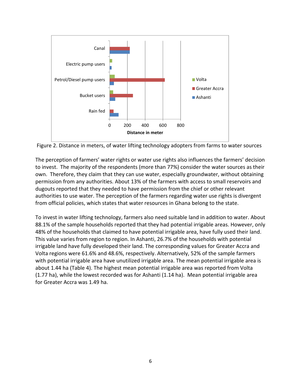

Figure 2. Distance in meters, of water lifting technology adopters from farms to water sources

The perception of farmers' water rights or water use rights also influences the farmers' decision to invest. The majority of the respondents (more than 77%) consider the water sources as their own. Therefore, they claim that they can use water, especially groundwater, without obtaining permission from any authorities. About 13% of the farmers with access to small reservoirs and dugouts reported that they needed to have permission from the chief or other relevant authorities to use water. The perception of the farmers regarding water use rights is divergent from official policies, which states that water resources in Ghana belong to the state.

To invest in water lifting technology, farmers also need suitable land in addition to water. About 88.1% of the sample households reported that they had potential irrigable areas. However, only 48% of the households that claimed to have potential irrigable area, have fully used their land. This value varies from region to region. In Ashanti, 26.7% of the households with potential irrigable land have fully developed their land. The corresponding values for Greater Accra and Volta regions were 61.6% and 48.6%, respectively. Alternatively, 52% of the sample farmers with potential irrigable area have unutilized irrigable area. The mean potential irrigable area is about 1.44 ha (Table 4). The highest mean potential irrigable area was reported from Volta (1.77 ha), while the lowest recorded was for Ashanti (1.14 ha). Mean potential irrigable area for Greater Accra was 1.49 ha.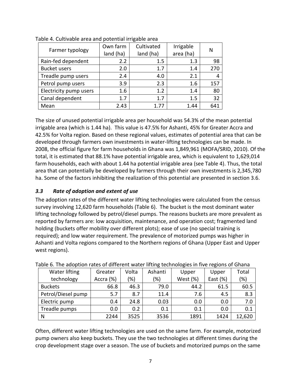| Farmer typology        | Own farm<br>land (ha) | Cultivated<br>land (ha) | Irrigable<br>area (ha) | N   |
|------------------------|-----------------------|-------------------------|------------------------|-----|
| Rain-fed dependent     | 2.2                   | $1.5\,$                 | 1.3                    | 98  |
| <b>Bucket users</b>    | 2.0                   | 1.7                     | 1.4                    | 270 |
| Treadle pump users     | 2.4                   | 4.0                     | 2.1                    |     |
| Petrol pump users      | 3.9                   | 2.3                     | 1.6                    | 157 |
| Electricity pump users | 1.6                   | 1.2                     | 1.4                    | 80  |
| Canal dependent        | 1.7                   | 1.7                     | 1.5                    | 32  |
| Mean                   | 2.43                  | 1.77                    | 1.44                   | 641 |

Table 4. Cultivable area and potential irrigable area

The size of unused potential irrigable area per household was 54.3% of the mean potential irrigable area (which is 1.44 ha). This value is 47.5% for Ashanti, 45% for Greater Accra and 42.5% for Volta region. Based on these regional values, estimates of potential area that can be developed through farmers own investments in water-lifting technologies can be made. In 2008, the official figure for farm households in Ghana was 1,849,961 (MOFA/SRID, 2010). Of the total, it is estimated that 88.1% have potential irrigable area, which is equivalent to 1,629,014 farm households, each with about 1.44 ha potential irrigable area (see Table 4). Thus, the total area that can potentially be developed by farmers through their own investments is 2,345,780 ha. Some of the factors inhibiting the realization of this potential are presented in section 3.6.

#### *3.3 Rate of adoption and extent of use*

The adoption rates of the different water lifting technologies were calculated from the census survey involving 12,620 farm households (Table 6). The bucket is the most dominant water lifting technology followed by petrol/diesel pumps. The reasons buckets are more prevalent as reported by farmers are: low acquisition, maintenance, and operation cost; fragmented land holding (buckets offer mobility over different plots); ease of use (no special training is required); and low water requirement. The prevalence of motorized pumps was higher in Ashanti and Volta regions compared to the Northern regions of Ghana (Upper East and Upper west regions).

|                    |           |       |         | . .      |             |        |
|--------------------|-----------|-------|---------|----------|-------------|--------|
| Water lifting      | Greater   | Volta | Ashanti | Upper    | Upper       | Total  |
| technology         | Accra (%) | (%)   | (96)    | West (%) | East $(\%)$ | (%)    |
| <b>Buckets</b>     | 66.8      | 46.3  | 79.0    | 44.2     | 61.5        | 60.5   |
| Petrol/Diesel pump | 5.7       | 8.7   | 11.4    | 7.6      | 4.5         | 8.3    |
| Electric pump      | 0.4       | 24.8  | 0.03    | 0.0      | 0.0         | 7.0    |
| Treadle pumps      | 0.0       | 0.2   | 0.1     | 0.1      | 0.0         | 0.1    |
| N                  | 2244      | 3525  | 3536    | 1891     | 1424        | 12,620 |

Table 6. The adoption rates of different water lifting technologies in five regions of Ghana

Often, different water lifting technologies are used on the same farm. For example, motorized pump owners also keep buckets. They use the two technologies at different times during the crop development stage over a season. The use of buckets and motorized pumps on the same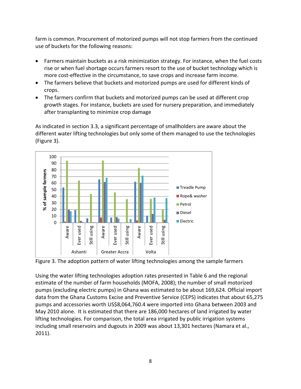farm is common. Procurement of motorized pumps will not stop farmers from the continued use of buckets for the following reasons:

- Farmers maintain buckets as a risk minimization strategy. For instance, when the fuel costs rise or when fuel shortage occurs farmers resort to the use of bucket technology which is more cost-effective in the circumstance, to save crops and increase farm income.
- The farmers believe that buckets and motorized pumps are used for different kinds of crops.
- The farmers confirm that buckets and motorized pumps can be used at different crop growth stages. For instance, buckets are used for nursery preparation, and immediately after transplanting to minimize crop damage

As indicated in section 3.3, a significant percentage of smallholders are aware about the different water lifting technologies but only some of them managed to use the technologies (Figure 3).



Figure 3. The adoption pattern of water lifting technologies among the sample farmers

Using the water lifting technologies adoption rates presented in Table 6 and the regional estimate of the number of farm households (MOFA, 2008); the number of small motorized pumps (excluding electric pumps) in Ghana was estimated to be about 169,624. Official import data from the Ghana Customs Excise and Preventive Service (CEPS) indicates that about 65,275 pumps and accessories worth US\$8,064,760.4 were imported into Ghana between 2003 and May 2010 alone. It is estimated that there are 186,000 hectares of land irrigated by water lifting technologies. For comparison, the total area irrigated by public irrigation systems including small reservoirs and dugouts in 2009 was about 13,301 hectares (Namara et al., 2011).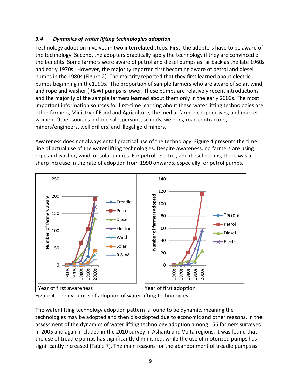## *3.4 Dynamics of water lifting technologies adoption*

Technology adoption involves in two interrelated steps. First, the adopters have to be aware of the technology. Second, the adopters practically apply the technology if they are convinced of the benefits. Some farmers were aware of petrol and diesel pumps as far back as the late 1960s and early 1970s. However, the majority reported first becoming aware of petrol and diesel pumps in the 1980s (Figure 2). The majority reported that they first learned about electric pumps beginning in the1990s. The proportion of sample farmers who are aware of solar, wind, and rope and washer (R&W) pumps is lower. These pumps are relatively recent introductions and the majority of the sample farmers learned about them only in the early 2000s. The most important information sources for first-time learning about these water lifting technologies are: other farmers, Ministry of Food and Agriculture, the media, farmer cooperatives, and market women. Other sources include salespersons, schools, welders, road contractors, miners/engineers, well drillers, and illegal gold miners.

Awareness does not always entail practical use of the technology. Figure 4 presents the time line of actual use of the water lifting technologies. Despite awareness, no farmers are using rope and washer, wind, or solar pumps. For petrol, electric, and diesel pumps, there was a sharp increase in the rate of adoption from 1990 onwards, especially for petrol pumps.



Figure 4. The dynamics of adoption of water lifting technologies

The water lifting technology adoption pattern is found to be dynamic, meaning the technologies may be adopted and then dis-adopted due to economic and other reasons. In the assessment of the dynamics of water lifting technology adoption among 156 farmers surveyed in 2005 and again included in the 2010 survey in Ashanti and Volta regions, it was found that the use of treadle pumps has significantly diminished, while the use of motorized pumps has significantly increased (Table 7). The main reasons for the abandonment of treadle pumps as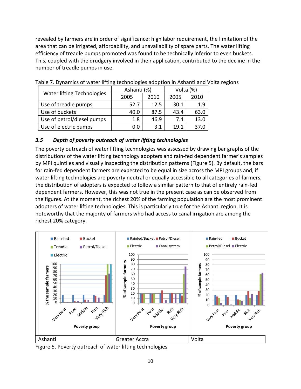revealed by farmers are in order of significance: high labor requirement, the limitation of the area that can be irrigated, affordability, and unavailability of spare parts. The water lifting efficiency of treadle pumps promoted was found to be technically inferior to even buckets. This, coupled with the drudgery involved in their application, contributed to the decline in the number of treadle pumps in use.

| <b>Water lifting Technologies</b> | Ashanti (%) |      | Volta (%) |      |
|-----------------------------------|-------------|------|-----------|------|
|                                   | 2005        | 2010 | 2005      | 2010 |
| Use of treadle pumps              | 52.7        | 12.5 | 30.1      | 1.9  |
| Use of buckets                    | 40.0        | 87.5 | 43.4      | 63.0 |
| Use of petrol/diesel pumps        | 1.8         | 46.9 | 7.4       | 13.0 |
| Use of electric pumps             | 0.0         | 3.1  | 19.1      | 37.0 |

Table 7. Dynamics of water lifting technologies adoption in Ashanti and Volta regions

## *3.5 Depth of poverty outreach of water lifting technologies*

The poverty outreach of water lifting technologies was assessed by drawing bar graphs of the distributions of the water lifting technology adopters and rain-fed dependent farmer's samples by MPI quintiles and visually inspecting the distribution patterns (Figure 5). By default, the bars for rain-fed dependent farmers are expected to be equal in size across the MPI groups and, if water lifting technologies are poverty neutral or equally accessible to all categories of farmers, the distribution of adopters is expected to follow a similar pattern to that of entirely rain-fed dependent farmers. However, this was not true in the present case as can be observed from the figures. At the moment, the richest 20% of the farming population are the most prominent adopters of water lifting technologies. This is particularly true for the Ashanti region. It is noteworthy that the majority of farmers who had access to canal irrigation are among the richest 20% category.



Figure 5. Poverty outreach of water lifting technologies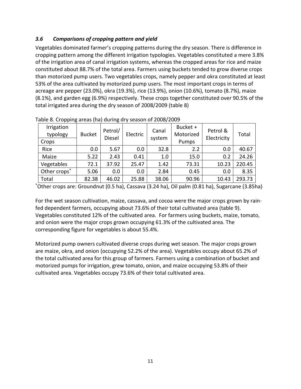## *3.6 Comparisons of cropping pattern and yield*

Vegetables dominated farmer's cropping patterns during the dry season. There is difference in cropping pattern among the different irrigation typologies. Vegetables constituted a mere 3.8% of the irrigation area of canal irrigation systems, whereas the cropped areas for rice and maize constituted about 88.7% of the total area. Farmers using buckets tended to grow diverse crops than motorized pump users. Two vegetables crops, namely pepper and okra constituted at least 53% of the area cultivated by motorized pump users. The most important crops in terms of acreage are pepper (23.0%), okra (19.3%), rice (13.9%), onion (10.6%), tomato (8.7%), maize (8.1%), and garden egg (6.9%) respectively. These crops together constituted over 90.5% of the total irrigated area during the dry season of 2008/2009 (table 8)

| Irrigation<br>typology<br>Crops | <b>Bucket</b> | Petrol/<br><b>Diesel</b> | Electric | Canal<br>system | Bucket +<br>Motorized<br>Pumps | Petrol &<br>Electricity | Total  |
|---------------------------------|---------------|--------------------------|----------|-----------------|--------------------------------|-------------------------|--------|
| Rice                            | 0.0           | 5.67                     | 0.0      | 32.8            | 2.2                            | 0.0                     | 40.67  |
| Maize                           | 5.22          | 2.43                     | 0.41     | 1.0             | 15.0                           | 0.2                     | 24.26  |
| Vegetables                      | 72.1          | 37.92                    | 25.47    | 1.42            | 73.31                          | 10.23                   | 220.45 |
| Other crops*                    | 5.06          | 0.0                      | 0.0      | 2.84            | 0.45                           | 0.0                     | 8.35   |
| Total                           | 82.38         | 46.02                    | 25.88    | 38.06           | 90.96                          | 10.43                   | 293.73 |

Table 8. Cropping areas (ha) during dry season of 2008/2009

\*Other crops are: Groundnut (0.5 ha), Cassava (3.24 ha), Oil palm (0.81 ha), Sugarcane (3.85ha)

For the wet season cultivation, maize, cassava, and cocoa were the major crops grown by rainfed dependent farmers, occupying about 73.6% of their total cultivated area (table 9). Vegetables constituted 12% of the cultivated area. For farmers using buckets, maize, tomato, and onion were the major crops grown occupying 61.3% of the cultivated area. The corresponding figure for vegetables is about 55.4%.

Motorized pump owners cultivated diverse crops during wet season. The major crops grown are maize, okra, and onion (occupying 52.2% of the area). Vegetables occupy about 65.2% of the total cultivated area for this group of farmers. Farmers using a combination of bucket and motorized pumps for irrigation, grew tomato, onion, and maize occupying 53.8% of their cultivated area. Vegetables occupy 73.6% of their total cultivated area.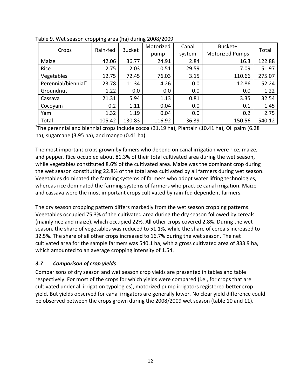|                     | . .<br>Rain-fed | <b>Bucket</b> | Motorized | Canal  | Bucket+                | Total  |
|---------------------|-----------------|---------------|-----------|--------|------------------------|--------|
| Crops               |                 |               | pump      | system | <b>Motorized Pumps</b> |        |
| Maize               | 42.06           | 36.77         | 24.91     | 2.84   | 16.3                   | 122.88 |
| Rice                | 2.75            | 2.03          | 10.51     | 29.59  | 7.09                   | 51.97  |
| Vegetables          | 12.75           | 72.45         | 76.03     | 3.15   | 110.66                 | 275.07 |
| Perennial/biennial* | 23.78           | 11.34         | 4.26      | 0.0    | 12.86                  | 52.24  |
| Groundnut           | 1.22            | 0.0           | 0.0       | 0.0    | 0.0                    | 1.22   |
| Cassava             | 21.31           | 5.94          | 1.13      | 0.81   | 3.35                   | 32.54  |
| Cocoyam             | 0.2             | 1.11          | 0.04      | 0.0    | 0.1                    | 1.45   |
| Yam                 | 1.32            | 1.19          | 0.04      | 0.0    | 0.2                    | 2.75   |
| Total               | 105.42          | 130.83        | 116.92    | 36.39  | 150.56                 | 540.12 |

Table 9. Wet season cropping area (ha) during 2008/2009

\*The perennial and biennial crops include cocoa (31.19 ha), Plantain (10.41 ha), Oil palm (6.28 ha), sugarcane (3.95 ha), and mango (0.41 ha)

The most important crops grown by famers who depend on canal irrigation were rice, maize, and pepper. Rice occupied about 81.3% of their total cultivated area during the wet season, while vegetables constituted 8.6% of the cultivated area. Maize was the dominant crop during the wet season constituting 22.8% of the total area cultivated by all farmers during wet season. Vegetables dominated the farming systems of farmers who adopt water lifting technologies, whereas rice dominated the farming systems of farmers who practice canal irrigation. Maize and cassava were the most important crops cultivated by rain-fed dependent farmers.

The dry season cropping pattern differs markedly from the wet season cropping patterns. Vegetables occupied 75.3% of the cultivated area during the dry season followed by cereals (mainly rice and maize), which occupied 22%. All other crops covered 2.8%. During the wet season, the share of vegetables was reduced to 51.1%, while the share of cereals increased to 32.5%. The share of all other crops increased to 16.7% during the wet season. The net cultivated area for the sample farmers was 540.1 ha, with a gross cultivated area of 833.9 ha, which amounted to an average cropping intensity of 1.54.

## *3.7 Comparison of crop yields*

Comparisons of dry season and wet season crop yields are presented in tables and table respectively. For most of the crops for which yields were compared (i.e., for crops that are cultivated under all irrigation typologies), motorized pump irrigators registered better crop yield. But yields observed for canal irrigators are generally lower. No clear yield difference could be observed between the crops grown during the 2008/2009 wet season (table 10 and 11).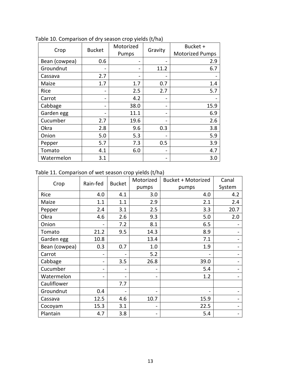|               |               | Motorized |         | Bucket +               |
|---------------|---------------|-----------|---------|------------------------|
| Crop          | <b>Bucket</b> | Pumps     | Gravity | <b>Motorized Pumps</b> |
| Bean (cowpea) | 0.6           |           |         | 2.9                    |
| Groundnut     |               |           | 11.2    | 6.7                    |
| Cassava       | 2.7           |           |         |                        |
| Maize         | 1.7           | 1.7       | 0.7     | 1.4                    |
| Rice          |               | 2.5       | 2.7     | 5.7                    |
| Carrot        |               | 4.2       |         |                        |
| Cabbage       |               | 38.0      |         | 15.9                   |
| Garden egg    |               | 11.1      |         | 6.9                    |
| Cucumber      | 2.7           | 19.6      |         | 2.6                    |
| Okra          | 2.8           | 9.6       | 0.3     | 3.8                    |
| Onion         | 5.0           | 5.3       |         | 5.9                    |
| Pepper        | 5.7           | 7.3       | 0.5     | 3.9                    |
| Tomato        | 4.1           | 6.0       |         | 4.7                    |
| Watermelon    | 3.1           |           |         | 3.0                    |

Table 10. Comparison of dry season crop yields (t/ha)

## Table 11. Comparison of wet season crop yields (t/ha)

|               | Rain-fed | <b>Bucket</b> | Motorized | <b>Bucket + Motorized</b> | Canal  |
|---------------|----------|---------------|-----------|---------------------------|--------|
| Crop          |          |               | pumps     | pumps                     | System |
| Rice          | 4.0      | 4.1           | 3.0       | 4.0                       | 4.2    |
| Maize         | 1.1      | 1.1           | 2.9       | 2.1                       | 2.4    |
| Pepper        | 2.4      | 3.1           | 2.5       | 3.3                       | 20.7   |
| Okra          | 4.6      | 2.6           | 9.3       | 5.0                       | 2.0    |
| Onion         |          | 7.2           | 8.1       | 6.5                       |        |
| Tomato        | 21.2     | 9.5           | 14.3      | 8.9                       |        |
| Garden egg    | 10.8     |               | 13.4      | 7.1                       |        |
| Bean (cowpea) | 0.3      | 0.7           | 1.0       | 1.9                       |        |
| Carrot        |          |               | 5.2       |                           |        |
| Cabbage       |          | 3.5           | 26.8      | 39.0                      |        |
| Cucumber      | -        |               |           | 5.4                       |        |
| Watermelon    |          | Ξ.            |           | 1.2                       |        |
| Cauliflower   |          | 7.7           |           |                           |        |
| Groundnut     | 0.4      |               |           |                           |        |
| Cassava       | 12.5     | 4.6           | 10.7      | 15.9                      |        |
| Cocoyam       | 15.3     | 3.1           |           | 22.5                      |        |
| Plantain      | 4.7      | 3.8           |           | 5.4                       |        |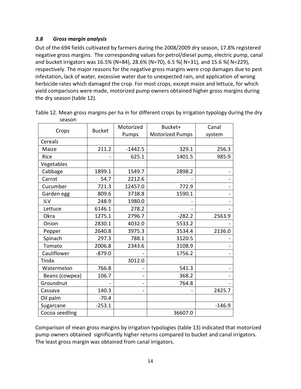#### *3.8 Gross margin analysis*

Out of the 694 fields cultivated by farmers during the 2008/2009 dry season, 17.8% registered negative gross margins. The corresponding values for petrol/diesel pump, electric pump, canal and bucket irrigators was 16.5% (N=84), 28.6% (N=70), 6.5 %( N=31), and 15.6 %( N=229), respectively. The major reasons for the negative gross margins were crop damages due to pest infestation, lack of water, excessive water due to unexpected rain, and application of wrong herbicide rates which damaged the crop. For most crops, except maize and lettuce, for which yield comparisons were made, motorized pump owners obtained higher gross margins during the dry season (table 12).

|                | <b>Bucket</b> | Motorized | Bucket+                | Canal    |
|----------------|---------------|-----------|------------------------|----------|
| Crops          |               | Pumps     | <b>Motorized Pumps</b> | system   |
| Cereals        |               |           |                        |          |
| Maize          | 211.2         | $-1442.5$ | 329.1                  | 256.3    |
| Rice           |               | 625.1     | 1401.5                 | 985.9    |
| Vegetables     |               |           |                        |          |
| Cabbage        | 1899.1        | 1549.7    | 2898.2                 |          |
| Carrot         | 54.7          | 2212.6    |                        |          |
| Cucumber       | 721.3         | 12457.0   | 772.9                  |          |
| Garden egg     | 809.6         | 3738.8    | 1590.1                 |          |
| ILV            | 248.9         | 1980.0    |                        |          |
| Lettuce        | 6146.1        | 278.2     |                        |          |
| Okra           | 1275.1        | 2796.7    | $-282.2$               | 2563.9   |
| Onion          | 2830.1        | 4032.0    | 5533.2                 |          |
| Pepper         | 2640.8        | 3975.3    | 3534.4                 | 2136.0   |
| Spinach        | 297.3         | 788.1     | 3120.5                 |          |
| Tomato         | 2006.8        | 2343.6    | 3108.9                 |          |
| Cauliflower    | $-879.0$      |           | 1756.2                 |          |
| Tinda          |               | 3012.0    |                        |          |
| Watermelon     | 766.8         |           | 541.3                  |          |
| Beans (cowpea) | 106.7         |           | 368.2                  |          |
| Groundnut      |               |           | 764.8                  |          |
| Cassava        | 140.3         |           |                        | 2425.7   |
| Oil palm       | $-70.4$       |           |                        |          |
| Sugarcane      | $-253.1$      |           |                        | $-146.9$ |
| Cocoa seedling |               |           | 36607.0                |          |

| Table 12. Mean gross margins per ha in for different crops by irrigation typology during the dry |  |  |  |  |
|--------------------------------------------------------------------------------------------------|--|--|--|--|
| season                                                                                           |  |  |  |  |

Comparison of mean gross margins by irrigation typologies (table 13) indicated that motorized pump owners obtained significantly higher returns compared to bucket and canal irrigators. The least gross margin was obtained from canal irrigators.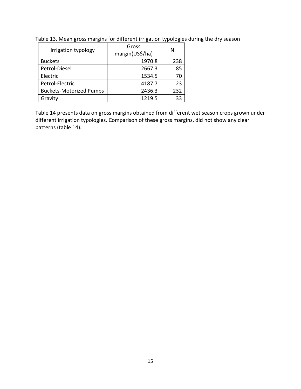| Irrigation typology            | Gross<br>margin(US\$/ha) | N   |
|--------------------------------|--------------------------|-----|
| <b>Buckets</b>                 | 1970.8                   | 238 |
| Petrol-Diesel                  | 2667.3                   | 85  |
| Electric                       | 1534.5                   | 70  |
| Petrol-Electric                | 4187.7                   | 23  |
| <b>Buckets-Motorized Pumps</b> | 2436.3                   | 232 |
| Gravity                        | 1219.5                   | २२  |

Table 13. Mean gross margins for different irrigation typologies during the dry season

Table 14 presents data on gross margins obtained from different wet season crops grown under different irrigation typologies. Comparison of these gross margins, did not show any clear patterns (table 14).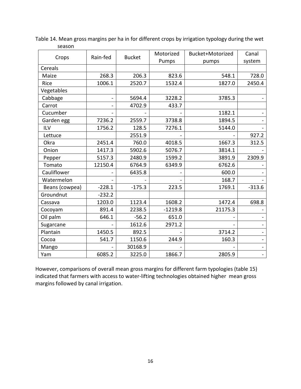|                | Rain-fed | <b>Bucket</b> | Motorized | Bucket+Motorized | Canal    |
|----------------|----------|---------------|-----------|------------------|----------|
| Crops          |          |               | Pumps     | pumps            | system   |
| Cereals        |          |               |           |                  |          |
| Maize          | 268.3    | 206.3         | 823.6     | 548.1            | 728.0    |
| Rice           | 1006.1   | 2520.7        | 1532.4    | 1827.0           | 2450.4   |
| Vegetables     |          |               |           |                  |          |
| Cabbage        |          | 5694.4        | 3228.2    | 3785.3           |          |
| Carrot         |          | 4702.9        | 433.7     |                  |          |
| Cucumber       |          |               |           | 1182.1           |          |
| Garden egg     | 7236.2   | 2559.7        | 3738.8    | 1894.5           |          |
| <b>ILV</b>     | 1756.2   | 128.5         | 7276.1    | 5144.0           |          |
| Lettuce        |          | 2551.9        |           |                  | 927.2    |
| Okra           | 2451.4   | 760.0         | 4018.5    | 1667.3           | 312.5    |
| Onion          | 1417.3   | 5902.6        | 5076.7    | 3814.1           |          |
| Pepper         | 5157.3   | 2480.9        | 1599.2    | 3891.9           | 2309.9   |
| Tomato         | 12150.4  | 6764.9        | 6349.9    | 6762.6           |          |
| Cauliflower    |          | 6435.8        |           | 600.0            |          |
| Watermelon     |          |               |           | 168.7            |          |
| Beans (cowpea) | $-228.1$ | $-175.3$      | 223.5     | 1769.1           | $-313.6$ |
| Groundnut      | $-232.2$ |               |           |                  |          |
| Cassava        | 1203.0   | 1123.4        | 1608.2    | 1472.4           | 698.8    |
| Cocoyam        | 891.4    | 2238.5        | $-1219.8$ | 21175.3          |          |
| Oil palm       | 646.1    | $-56.2$       | 651.0     |                  |          |
| Sugarcane      |          | 1612.6        | 2971.2    |                  |          |
| Plantain       | 1450.5   | 892.5         |           | 3714.2           |          |
| Cocoa          | 541.7    | 1150.6        | 244.9     | 160.3            |          |
| Mango          |          | 30168.9       |           |                  |          |
| Yam            | 6085.2   | 3225.0        | 1866.7    | 2805.9           |          |

Table 14. Mean gross margins per ha in for different crops by irrigation typology during the wet season

However, comparisons of overall mean gross margins for different farm typologies (table 15) indicated that farmers with access to water-lifting technologies obtained higher mean gross margins followed by canal irrigation.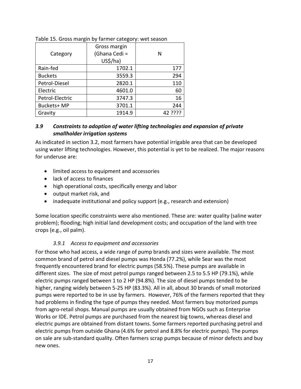| Category        | Gross margin<br>(Ghana Cedi =<br>US <sub>5</sub> /ha) | N       |
|-----------------|-------------------------------------------------------|---------|
| Rain-fed        | 1702.1                                                | 177     |
| <b>Buckets</b>  | 3559.3                                                | 294     |
| Petrol-Diesel   | 2820.1                                                | 110     |
| Electric        | 4601.0                                                | 60      |
| Petrol-Electric | 3747.3                                                | 16      |
| Buckets+ MP     | 3701.1                                                | 244     |
| Gravity         | 1914.9                                                | 42 ???? |

#### Table 15. Gross margin by farmer category: wet season

#### *3.9 Constraints to adoption of water lifting technologies and expansion of private smallholder irrigation systems*

As indicated in section 3.2, most farmers have potential irrigable area that can be developed using water lifting technologies. However, this potential is yet to be realized. The major reasons for underuse are:

- limited access to equipment and accessories
- lack of access to finances
- high operational costs, specifically energy and labor
- output market risk, and
- inadequate institutional and policy support (e.g., research and extension)

Some location specific constraints were also mentioned. These are: water quality (saline water problem); flooding; high initial land development costs; and occupation of the land with tree crops (e.g., oil palm).

#### *3.9.1 Access to equipment and accessories*

For those who had access, a wide range of pump brands and sizes were available. The most common brand of petrol and diesel pumps was Honda (77.2%), while Sear was the most frequently encountered brand for electric pumps (58.5%). These pumps are available in different sizes. The size of most petrol pumps ranged between 2.5 to 5.5 HP (79.1%), while electric pumps ranged between 1 to 2 HP (94.8%). The size of diesel pumps tended to be higher, ranging widely between 5-25 HP (83.3%). All in all, about 30 brands of small motorized pumps were reported to be in use by farmers. However, 76% of the farmers reported that they had problems in finding the type of pumps they needed. Most farmers buy motorized pumps from agro-retail shops. Manual pumps are usually obtained from NGOs such as Enterprise Works or IDE. Petrol pumps are purchased from the nearest big towns, whereas diesel and electric pumps are obtained from distant towns. Some farmers reported purchasing petrol and electric pumps from outside Ghana (4.6% for petrol and 8.8% for electric pumps). The pumps on sale are sub-standard quality. Often farmers scrap pumps because of minor defects and buy new ones.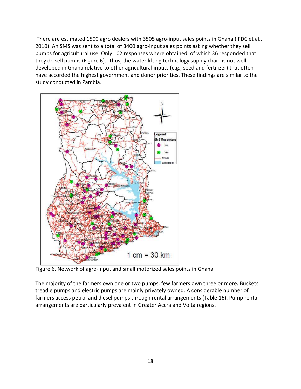There are estimated 1500 agro dealers with 3505 agro-input sales points in Ghana (IFDC et al., 2010). An SMS was sent to a total of 3400 agro-input sales points asking whether they sell pumps for agricultural use. Only 102 responses where obtained, of which 36 responded that they do sell pumps (Figure 6). Thus, the water lifting technology supply chain is not well developed in Ghana relative to other agricultural inputs (e.g., seed and fertilizer) that often have accorded the highest government and donor priorities. These findings are similar to the study conducted in Zambia.



Figure 6. Network of agro-input and small motorized sales points in Ghana

The majority of the farmers own one or two pumps, few farmers own three or more. Buckets, treadle pumps and electric pumps are mainly privately owned. A considerable number of farmers access petrol and diesel pumps through rental arrangements (Table 16). Pump rental arrangements are particularly prevalent in Greater Accra and Volta regions.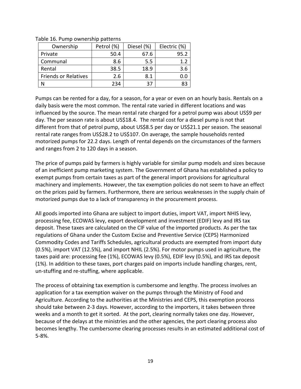| Ownership                   | Petrol (%) | Diesel (%) | Electric (%) |
|-----------------------------|------------|------------|--------------|
| Private                     | 50.4       | 67.6       | 95.2         |
| Communal                    | 8.6        | 5.5        |              |
| Rental                      | 38.5       | 18.9       | 3.6          |
| <b>Friends or Relatives</b> | 2.6        | 8.1        |              |
|                             | 234        | 37         | 83           |

Table 16. Pump ownership patterns

Pumps can be rented for a day, for a season, for a year or even on an hourly basis. Rentals on a daily basis were the most common. The rental rate varied in different locations and was influenced by the source. The mean rental rate charged for a petrol pump was about US\$9 per day. The per season rate is about US\$18.4. The rental cost for a diesel pump is not that different from that of petrol pump, about US\$8.5 per day or US\$21.1 per season. The seasonal rental rate ranges from US\$28.2 to US\$107. On average, the sample households rented motorized pumps for 22.2 days. Length of rental depends on the circumstances of the farmers and ranges from 2 to 120 days in a season.

The price of pumps paid by farmers is highly variable for similar pump models and sizes because of an inefficient pump marketing system. The Government of Ghana has established a policy to exempt pumps from certain taxes as part of the general import provisions for agricultural machinery and implements. However, the tax exemption policies do not seem to have an effect on the prices paid by farmers. Furthermore, there are serious weaknesses in the supply chain of motorized pumps due to a lack of transparency in the procurement process.

All goods imported into Ghana are subject to import duties, import VAT, import NHIS levy, processing fee, ECOWAS levy, export development and investment (EDIF) levy and IRS tax deposit. These taxes are calculated on the CIF value of the imported products. As per the tax regulations of Ghana under the Custom Excise and Preventive Service (CEPS) Harmonized Commodity Codes and Tariffs Schedules, agricultural products are exempted from import duty (0.5%), import VAT (12.5%), and import NHIL (2.5%). For motor pumps used in agriculture, the taxes paid are: processing fee (1%), ECOWAS levy (0.5%), EDIF levy (0.5%), and IRS tax deposit (1%). In addition to these taxes, port charges paid on imports include handling charges, rent, un-stuffing and re-stuffing, where applicable.

The process of obtaining tax exemption is cumbersome and lengthy. The process involves an application for a tax exemption waiver on the pumps through the Ministry of Food and Agriculture. According to the authorities at the Ministries and CEPS, this exemption process should take between 2-3 days. However, according to the importers, it takes between three weeks and a month to get it sorted. At the port, clearing normally takes one day. However, because of the delays at the ministries and the other agencies, the port clearing process also becomes lengthy. The cumbersome clearing processes results in an estimated additional cost of 5-8%.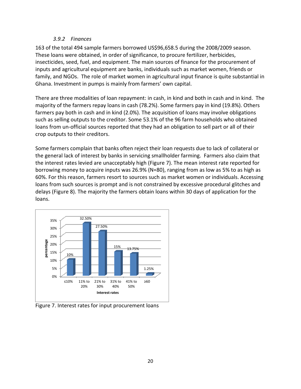#### *3.9.2 Finances*

163 of the total 494 sample farmers borrowed US\$96,658.5 during the 2008/2009 season. These loans were obtained, in order of significance, to procure fertilizer, herbicides, insecticides, seed, fuel, and equipment. The main sources of finance for the procurement of inputs and agricultural equipment are banks, individuals such as market women, friends or family, and NGOs. The role of market women in agricultural input finance is quite substantial in Ghana. Investment in pumps is mainly from farmers' own capital.

There are three modalities of loan repayment: in cash, in kind and both in cash and in kind. The majority of the farmers repay loans in cash (78.2%). Some farmers pay in kind (19.8%). Others farmers pay both in cash and in kind (2.0%). The acquisition of loans may involve obligations such as selling outputs to the creditor. Some 53.1% of the 96 farm households who obtained loans from un-official sources reported that they had an obligation to sell part or all of their crop outputs to their creditors.

Some farmers complain that banks often reject their loan requests due to lack of collateral or the general lack of interest by banks in servicing smallholder farming. Farmers also claim that the interest rates levied are unacceptably high (Figure 7). The mean interest rate reported for borrowing money to acquire inputs was 26.9% (N=80), ranging from as low as 5% to as high as 60%. For this reason, farmers resort to sources such as market women or individuals. Accessing loans from such sources is prompt and is not constrained by excessive procedural glitches and delays (Figure 8). The majority the farmers obtain loans within 30 days of application for the loans.



Figure 7. Interest rates for input procurement loans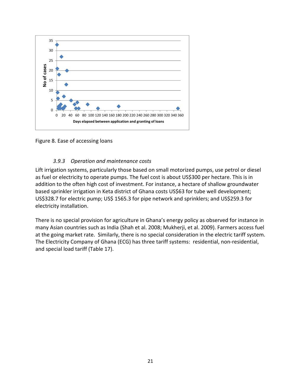

Figure 8. Ease of accessing loans

#### *3.9.3 Operation and maintenance costs*

Lift irrigation systems, particularly those based on small motorized pumps, use petrol or diesel as fuel or electricity to operate pumps. The fuel cost is about US\$300 per hectare. This is in addition to the often high cost of investment. For instance, a hectare of shallow groundwater based sprinkler irrigation in Keta district of Ghana costs US\$63 for tube well development; US\$328.7 for electric pump; US\$ 1565.3 for pipe network and sprinklers; and US\$259.3 for electricity installation.

There is no special provision for agriculture in Ghana's energy policy as observed for instance in many Asian countries such as India (Shah et al. 2008; Mukherji, et al. 2009). Farmers access fuel at the going market rate. Similarly, there is no special consideration in the electric tariff system. The Electricity Company of Ghana (ECG) has three tariff systems: residential, non-residential, and special load tariff (Table 17).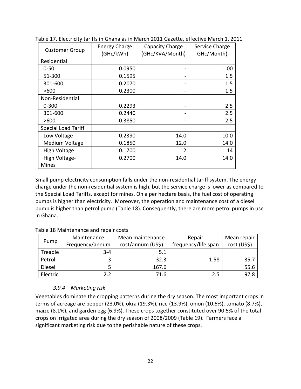| <b>Customer Group</b>      | <b>Energy Charge</b><br>(GHc/kWh) | Capacity Charge<br>(GHc/KVA/Month) | Service Charge<br>GHc/Month) |  |
|----------------------------|-----------------------------------|------------------------------------|------------------------------|--|
| Residential                |                                   |                                    |                              |  |
| $0 - 50$                   | 0.0950                            |                                    | 1.00                         |  |
| 51-300                     | 0.1595                            |                                    | 1.5                          |  |
| 301-600                    | 0.2070                            |                                    | 1.5                          |  |
| >600                       | 0.2300                            |                                    | 1.5                          |  |
| Non-Residential            |                                   |                                    |                              |  |
| $0 - 300$                  | 0.2293                            |                                    | 2.5                          |  |
| 301-600                    | 0.2440                            |                                    | 2.5                          |  |
| >600                       | 0.3850                            |                                    | 2.5                          |  |
| <b>Special Load Tariff</b> |                                   |                                    |                              |  |
| Low Voltage                | 0.2390                            | 14.0                               | 10.0                         |  |
| Medium Voltage             | 0.1850                            | 12.0                               | 14.0                         |  |
| High Voltage               | 0.1700                            | 12                                 | 14                           |  |
| High Voltage-              | 0.2700                            | 14.0                               | 14.0                         |  |
| <b>Mines</b>               |                                   |                                    |                              |  |

Table 17. Electricity tariffs in Ghana as in March 2011 Gazette, effective March 1, 2011

Small pump electricity consumption falls under the non-residential tariff system. The energy charge under the non-residential system is high, but the service charge is lower as compared to the Special Load Tariffs, except for mines. On a per hectare basis, the fuel cost of operating pumps is higher than electricity. Moreover, the operation and maintenance cost of a diesel pump is higher than petrol pump (Table 18). Consequently, there are more petrol pumps in use in Ghana.

|          | Maintenance     | Mean maintenance  | Repair              | Mean repair |
|----------|-----------------|-------------------|---------------------|-------------|
| Pump     | Frequency/annum | cost/annum (US\$) | frequency/life span | cost (US\$) |
| Treadle  | $3 - 4$         | 5.1               |                     |             |
| Petrol   | 3               | 32.3              | 1.58                | 35.7        |
| Diesel   | 5               | 167.6             |                     | 55.6        |
| Electric | 2.2             | 71.6              | 2.5                 | 97.8        |

#### Table 18 Maintenance and repair costs

#### *3.9.4 Marketing risk*

Vegetables dominate the cropping patterns during the dry season. The most important crops in terms of acreage are pepper (23.0%), okra (19.3%), rice (13.9%), onion (10.6%), tomato (8.7%), maize (8.1%), and garden egg (6.9%). These crops together constituted over 90.5% of the total crops on irrigated area during the dry season of 2008/2009 (Table 19). Farmers face a significant marketing risk due to the perishable nature of these crops.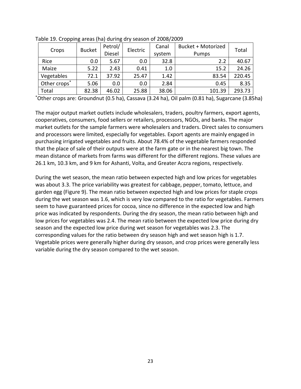| Crops        | <b>Bucket</b> | Petrol/       | Electric | Canal  | Bucket + Motorized | Total  |  |
|--------------|---------------|---------------|----------|--------|--------------------|--------|--|
|              |               | <b>Diesel</b> |          | system | Pumps              |        |  |
| Rice         | 0.0           | 5.67          | 0.0      | 32.8   | 2.2                | 40.67  |  |
| Maize        | 5.22          | 2.43          | 0.41     | 1.0    | 15.2               | 24.26  |  |
| Vegetables   | 72.1          | 37.92         | 25.47    | 1.42   | 83.54              | 220.45 |  |
| Other crops* | 5.06          | 0.0           | 0.0      | 2.84   | 0.45               | 8.35   |  |
| Total        | 82.38         | 46.02         | 25.88    | 38.06  | 101.39             | 293.73 |  |

Table 19. Cropping areas (ha) during dry season of 2008/2009

\*Other crops are: Groundnut (0.5 ha), Cassava (3.24 ha), Oil palm (0.81 ha), Sugarcane (3.85ha)

The major output market outlets include wholesalers, traders, poultry farmers, export agents, cooperatives, consumers, food sellers or retailers, processors, NGOs, and banks. The major market outlets for the sample farmers were wholesalers and traders. Direct sales to consumers and processors were limited, especially for vegetables. Export agents are mainly engaged in purchasing irrigated vegetables and fruits. About 78.4% of the vegetable farmers responded that the place of sale of their outputs were at the farm gate or in the nearest big town. The mean distance of markets from farms was different for the different regions. These values are 26.1 km, 10.3 km, and 9 km for Ashanti, Volta, and Greater Accra regions, respectively.

During the wet season, the mean ratio between expected high and low prices for vegetables was about 3.3. The price variability was greatest for cabbage, pepper, tomato, lettuce, and garden egg (Figure 9). The mean ratio between expected high and low prices for staple crops during the wet season was 1.6, which is very low compared to the ratio for vegetables. Farmers seem to have guaranteed prices for cocoa, since no difference in the expected low and high price was indicated by respondents. During the dry season, the mean ratio between high and low prices for vegetables was 2.4. The mean ratio between the expected low price during dry season and the expected low price during wet season for vegetables was 2.3. The corresponding values for the ratio between dry season high and wet season high is 1.7. Vegetable prices were generally higher during dry season, and crop prices were generally less variable during the dry season compared to the wet season.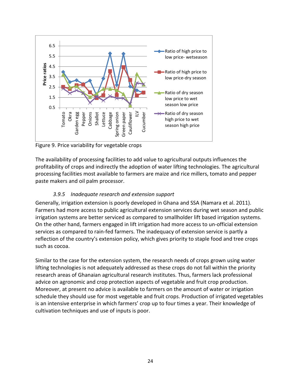

Figure 9. Price variability for vegetable crops

The availability of processing facilities to add value to agricultural outputs influences the profitability of crops and indirectly the adoption of water lifting technologies. The agricultural processing facilities most available to farmers are maize and rice millers, tomato and pepper paste makers and oil palm processor.

## *3.9.5 Inadequate research and extension support*

Generally, irrigation extension is poorly developed in Ghana and SSA (Namara et al. 2011). Farmers had more access to public agricultural extension services during wet season and public irrigation systems are better serviced as compared to smallholder lift based irrigation systems. On the other hand, farmers engaged in lift irrigation had more access to un-official extension services as compared to rain-fed farmers. The inadequacy of extension service is partly a reflection of the country's extension policy, which gives priority to staple food and tree crops such as cocoa.

Similar to the case for the extension system, the research needs of crops grown using water lifting technologies is not adequately addressed as these crops do not fall within the priority research areas of Ghanaian agricultural research institutes. Thus, farmers lack professional advice on agronomic and crop protection aspects of vegetable and fruit crop production. Moreover, at present no advice is available to farmers on the amount of water or irrigation schedule they should use for most vegetable and fruit crops. Production of irrigated vegetables is an intensive enterprise in which farmers' crop up to four times a year. Their knowledge of cultivation techniques and use of inputs is poor.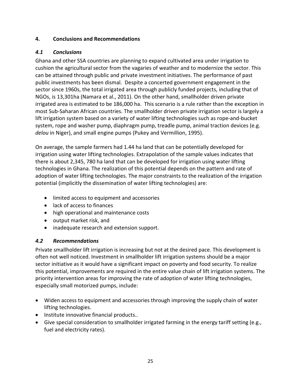#### **4. Conclusions and Recommendations**

## *4.1 Conclusions*

Ghana and other SSA countries are planning to expand cultivated area under irrigation to cushion the agricultural sector from the vagaries of weather and to modernize the sector. This can be attained through public and private investment initiatives. The performance of past public investments has been dismal. Despite a concerted government engagement in the sector since 1960s, the total irrigated area through publicly funded projects, including that of NGOs, is 13,301ha (Namara et al., 2011). On the other hand, smallholder driven private irrigated area is estimated to be 186,000 ha. This scenario is a rule rather than the exception in most Sub-Saharan African countries. The smallholder driven private irrigation sector is largely a lift irrigation system based on a variety of water lifting technologies such as rope-and-bucket system, rope and washer pump, diaphragm pump, treadle pump, animal traction devices (e.g. *delou* in Niger), and small engine pumps (Pukey and Vermillion, 1995).

On average, the sample farmers had 1.44 ha land that can be potentially developed for irrigation using water lifting technologies. Extrapolation of the sample values indicates that there is about 2,345, 780 ha land that can be developed for irrigation using water lifting technologies in Ghana. The realization of this potential depends on the pattern and rate of adoption of water lifting technologies. The major constraints to the realization of the irrigation potential (implicitly the dissemination of water lifting technologies) are:

- limited access to equipment and accessories
- lack of access to finances
- high operational and maintenance costs
- output market risk, and
- inadequate research and extension support.

## *4.2 Recommendations*

Private smallholder lift irrigation is increasing but not at the desired pace. This development is often not well noticed. Investment in smallholder lift irrigation systems should be a major sector initiative as it would have a significant impact on poverty and food security. To realize this potential, improvements are required in the entire value chain of lift irrigation systems. The priority intervention areas for improving the rate of adoption of water lifting technologies, especially small motorized pumps, include:

- Widen access to equipment and accessories through improving the supply chain of water lifting technologies.
- Institute innovative financial products..
- Give special consideration to smallholder irrigated farming in the energy tariff setting (e.g., fuel and electricity rates).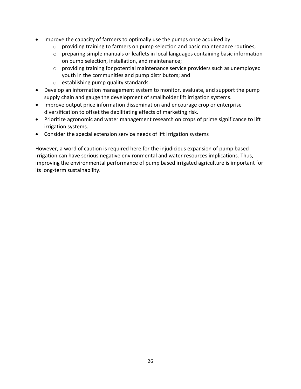- Improve the capacity of farmers to optimally use the pumps once acquired by:
	- $\circ$  providing training to farmers on pump selection and basic maintenance routines;
	- o preparing simple manuals or leaflets in local languages containing basic information on pump selection, installation, and maintenance;
	- o providing training for potential maintenance service providers such as unemployed youth in the communities and pump distributors; and
	- o establishing pump quality standards.
- Develop an information management system to monitor, evaluate, and support the pump supply chain and gauge the development of smallholder lift irrigation systems.
- Improve output price information dissemination and encourage crop or enterprise diversification to offset the debilitating effects of marketing risk.
- Prioritize agronomic and water management research on crops of prime significance to lift irrigation systems.
- Consider the special extension service needs of lift irrigation systems

However, a word of caution is required here for the injudicious expansion of pump based irrigation can have serious negative environmental and water resources implications. Thus, improving the environmental performance of pump based irrigated agriculture is important for its long-term sustainability.